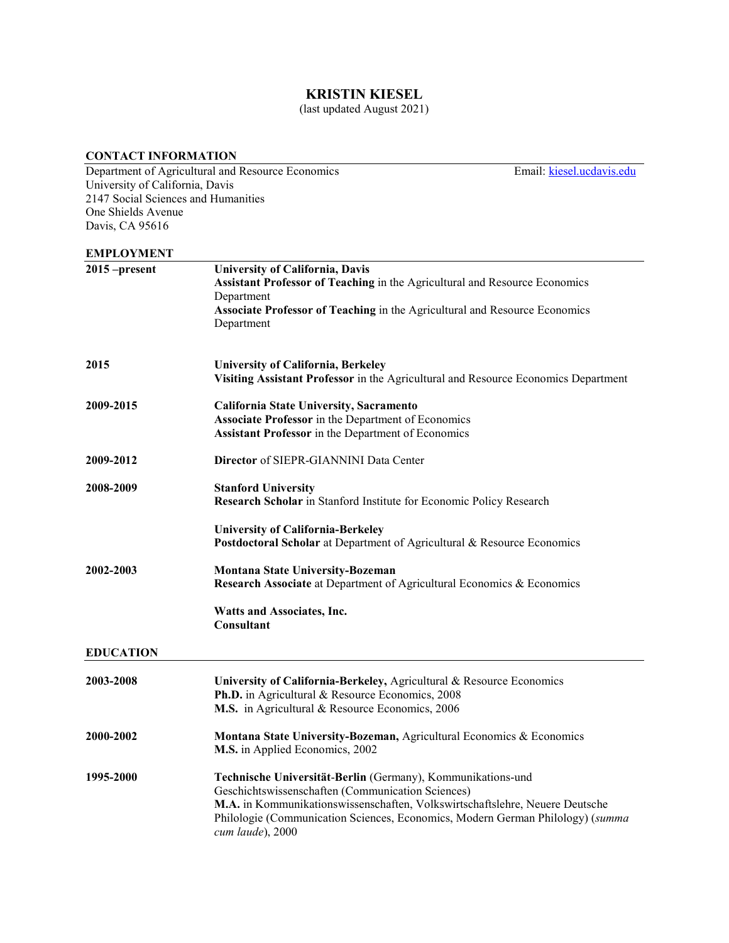## **KRISTIN KIESEL**

(last updated August 2021)

### **CONTACT INFORMATION**

Department of Agricultural and Resource Economics Email: [kiesel.ucdavis.edu](mailto:kiesel@csus.edu) University of California, Davis 2147 Social Sciences and Humanities One Shields Avenue Davis, CA 95616 **EMPLOYMENT 2015 –present University of California, Davis Assistant Professor of Teaching** in the Agricultural and Resource Economics Department **Associate Professor of Teaching** in the Agricultural and Resource Economics Department **2015 University of California, Berkeley Visiting Assistant Professor** in the Agricultural and Resource Economics Department **2009-2015 California State University, Sacramento Associate Professor** in the Department of Economics **Assistant Professor** in the Department of Economics **2009-2012 Director** of SIEPR-GIANNINI Data Center **2008-2009 Stanford University Research Scholar** in Stanford Institute for Economic Policy Research **University of California-Berkeley Postdoctoral Scholar** at Department of Agricultural & Resource Economics **2002-2003 Montana State University-Bozeman Research Associate** at Department of Agricultural Economics & Economics **Watts and Associates, Inc. Consultant EDUCATION 2003-2008 University of California-Berkeley,** Agricultural & Resource Economics **Ph.D.** in Agricultural & Resource Economics, 2008 **M.S.** in Agricultural & Resource Economics, 2006 **2000-2002 Montana State University-Bozeman,** Agricultural Economics & Economics **M.S.** in Applied Economics, 2002 **1995-2000 Technische Universität**-**Berlin** (Germany), Kommunikations-und Geschichtswissenschaften (Communication Sciences) **M.A.** in Kommunikationswissenschaften, Volkswirtschaftslehre, Neuere Deutsche Philologie (Communication Sciences, Economics, Modern German Philology) (*summa cum laude*), 2000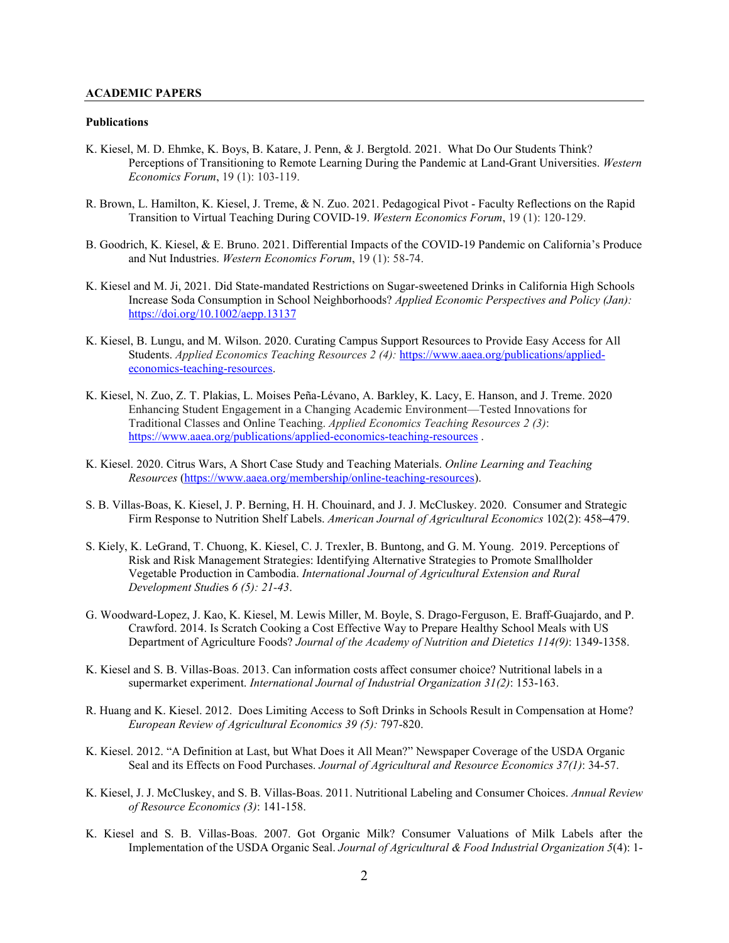## **ACADEMIC PAPERS**

#### **Publications**

- K. Kiesel, M. D. Ehmke, K. Boys, B. Katare, J. Penn, & J. Bergtold. 2021. What Do Our Students Think? Perceptions of Transitioning to Remote Learning During the Pandemic at Land-Grant Universities. *Western Economics Forum*, 19 (1): 103-119.
- R. Brown, L. Hamilton, K. Kiesel, J. Treme, & N. Zuo. 2021. Pedagogical Pivot Faculty Reflections on the Rapid Transition to Virtual Teaching During COVID-19. *Western Economics Forum*, 19 (1): 120-129.
- B. Goodrich, K. Kiesel, & E. Bruno. 2021. Differential Impacts of the COVID-19 Pandemic on California's Produce and Nut Industries. *Western Economics Forum*, 19 (1): 58-74.
- K. Kiesel and M. Ji, 2021. Did State-mandated Restrictions on Sugar-sweetened Drinks in California High Schools Increase Soda Consumption in School Neighborhoods? *Applied Economic Perspectives and Policy (Jan):* <https://doi.org/10.1002/aepp.13137>
- K. Kiesel, B. Lungu, and M. Wilson. 2020. Curating Campus Support Resources to Provide Easy Access for All Students. *Applied Economics Teaching Resources 2 (4):* [https://www.aaea.org/publications/applied](https://www.aaea.org/publications/applied-economics-teaching-resources)[economics-teaching-resources.](https://www.aaea.org/publications/applied-economics-teaching-resources)
- K. Kiesel, N. Zuo, Z. T. Plakias, L. Moises Peña-Lévano, A. Barkley, K. Lacy, E. Hanson, and J. Treme. 2020 Enhancing Student Engagement in a Changing Academic Environment—Tested Innovations for Traditional Classes and Online Teaching. *Applied Economics Teaching Resources 2 (3)*: <https://www.aaea.org/publications/applied-economics-teaching-resources> .
- K. Kiesel. 2020. Citrus Wars, A Short Case Study and Teaching Materials. *Online Learning and Teaching Resources* [\(https://www.aaea.org/membership/online-teaching-resources\)](https://www.aaea.org/membership/online-teaching-resources).
- S. B. Villas-Boas, K. Kiesel, J. P. Berning, H. H. Chouinard, and J. J. McCluskey. 2020. Consumer and Strategic Firm Response to Nutrition Shelf Labels. *American Journal of Agricultural Economics* 102(2): 458–479.
- S. Kiely, K. LeGrand, T. Chuong, K. Kiesel, C. J. Trexler, B. Buntong, and G. M. Young. 2019. Perceptions of Risk and Risk Management Strategies: Identifying Alternative Strategies to Promote Smallholder Vegetable Production in Cambodia. *International Journal of Agricultural Extension and Rural Development Studie*s *6 (5): 21-43*.
- G. Woodward-Lopez, J. Kao, K. Kiesel, M. Lewis Miller, M. Boyle, S. Drago-Ferguson, E. Braff-Guajardo, and P. Crawford. 2014. Is Scratch Cooking a Cost Effective Way to Prepare Healthy School Meals with US Department of Agriculture Foods? *Journal of the Academy of Nutrition and Dietetics 114(9)*: 1349-1358.
- K. Kiesel and S. B. Villas-Boas. 2013. Can information costs affect consumer choice? Nutritional labels in a supermarket experiment. *International Journal of Industrial Organization 31(2)*: 153-163.
- R. Huang and K. Kiesel. 2012. Does Limiting Access to Soft Drinks in Schools Result in Compensation at Home? *European Review of Agricultural Economics 39 (5):* 797-820.
- K. Kiesel. 2012. "A Definition at Last, but What Does it All Mean?" Newspaper Coverage of the USDA Organic Seal and its Effects on Food Purchases. *Journal of Agricultural and Resource Economics 37(1)*: 34-57.
- K. Kiesel, J. J. McCluskey, and S. B. Villas-Boas. 2011. Nutritional Labeling and Consumer Choices. *Annual Review of Resource Economics (3)*: 141-158.
- [K. Kiesel and S. B. Villas-Boas. 2007.](http://are.berkeley.edu/%7Ekiesel/published%20version.pdf) Got Organic Milk? Consumer Valuations of Milk Labels after the Implementation of the USDA Organic Seal. *[Journal of Agricultural & Food Industrial Organization 5](http://www.bepress.com/jafio/)*(4): 1-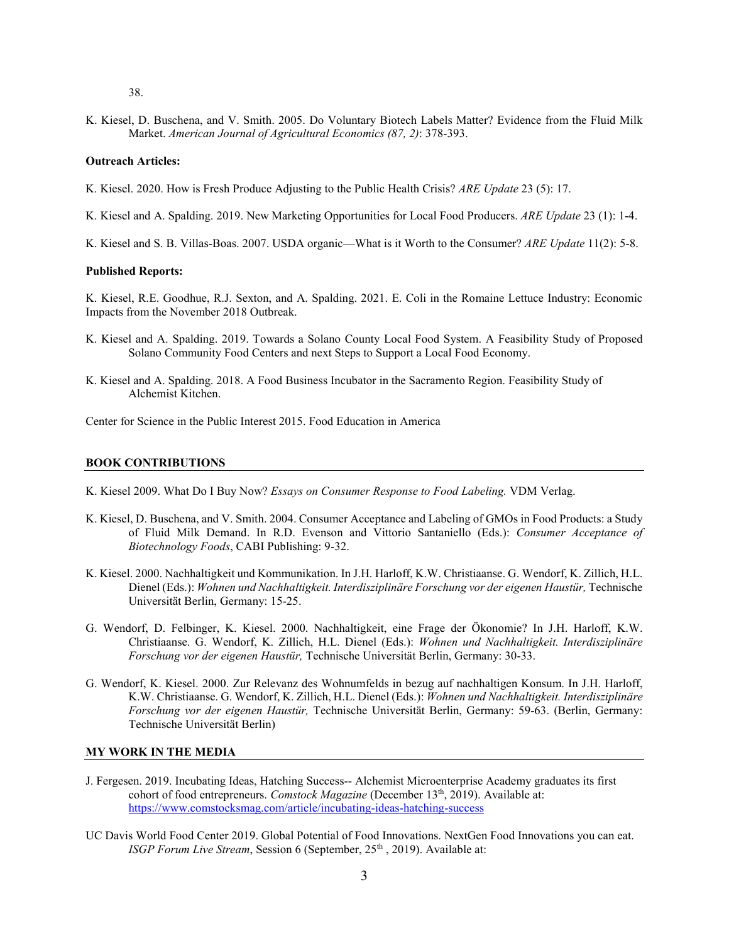38.

K. Kiesel, D. Buschena, and V. Smith. 2005. Do Voluntary Biotech Labels Matter? Evidence from the Fluid Milk Market. *American Journal of Agricultural Economics (87, 2)*: 378-393.

#### **Outreach Articles:**

- K. Kiesel. 2020. How is Fresh Produce Adjusting to the Public Health Crisis? *ARE Update* 23 (5): 17.
- K. Kiesel and A. Spalding. 2019. New Marketing Opportunities for Local Food Producers. *ARE Update* 23 (1): 1-4.
- K. Kiesel and S. B. Villas-Boas. 2007. USDA organic—What is it Worth to the Consumer? *ARE Update* 11(2): 5-8.

#### **Published Reports:**

K. Kiesel, R.E. Goodhue, R.J. Sexton, and A. Spalding. 2021. E. Coli in the Romaine Lettuce Industry: Economic Impacts from the November 2018 Outbreak.

- K. Kiesel and A. Spalding. 2019. Towards a Solano County Local Food System. A Feasibility Study of Proposed Solano Community Food Centers and next Steps to Support a Local Food Economy.
- K. Kiesel and A. Spalding. 2018. A Food Business Incubator in the Sacramento Region. Feasibility Study of Alchemist Kitchen.

Center for Science in the Public Interest 2015. Food Education in America

#### **BOOK CONTRIBUTIONS**

- K. Kiesel 2009. What Do I Buy Now? *Essays on Consumer Response to Food Labeling.* VDM Verlag.
- K. Kiesel, D. Buschena, and V. Smith. 2004. Consumer Acceptance and Labeling of GMOs in Food Products: a Study of Fluid Milk Demand. In R.D. Evenson and Vittorio Santaniello (Eds.): *Consumer Acceptance of Biotechnology Foods*, CABI Publishing: 9-32.
- K. Kiesel. 2000. Nachhaltigkeit und Kommunikation. In J.H. Harloff, K.W. Christiaanse. G. Wendorf, K. Zillich, H.L. Dienel (Eds.): Wohnen und Nachhaltigkeit. Interdisziplinäre Forschung vor der eigenen Haustür, Technische Universität Berlin, Germany: 15-25.
- G. Wendorf, D. Felbinger, K. Kiesel. 2000. Nachhaltigkeit, eine Frage der Ökonomie? In J.H. Harloff, K.W. Christiaanse. G. Wendorf, K. Zillich, H.L. Dienel (Eds.): *Wohnen und Nachhaltigkeit. Interdisziplinäre Forschung vor der eigenen Haustür,* Technische Universität Berlin, Germany: 30-33.
- G. Wendorf, K. Kiesel. 2000. Zur Relevanz des Wohnumfelds in bezug auf nachhaltigen Konsum. In J.H. Harloff, K.W. Christiaanse. G. Wendorf, K. Zillich, H.L. Dienel (Eds.): *Wohnen und Nachhaltigkeit. Interdisziplinäre Forschung vor der eigenen Haustür,* Technische Universität Berlin, Germany: 59-63. (Berlin, Germany: Technische Universität Berlin)

#### **MY WORK IN THE MEDIA**

- J. Fergesen. 2019. Incubating Ideas, Hatching Success-- Alchemist Microenterprise Academy graduates its first cohort of food entrepreneurs. *Comstock Magazine* (December 13<sup>th</sup>, 2019). Available at: <https://www.comstocksmag.com/article/incubating-ideas-hatching-success>
- UC Davis World Food Center 2019. Global Potential of Food Innovations. NextGen Food Innovations you can eat. *ISGP Forum Live Stream, Session 6 (September, 25<sup>th</sup>, 2019). Available at:*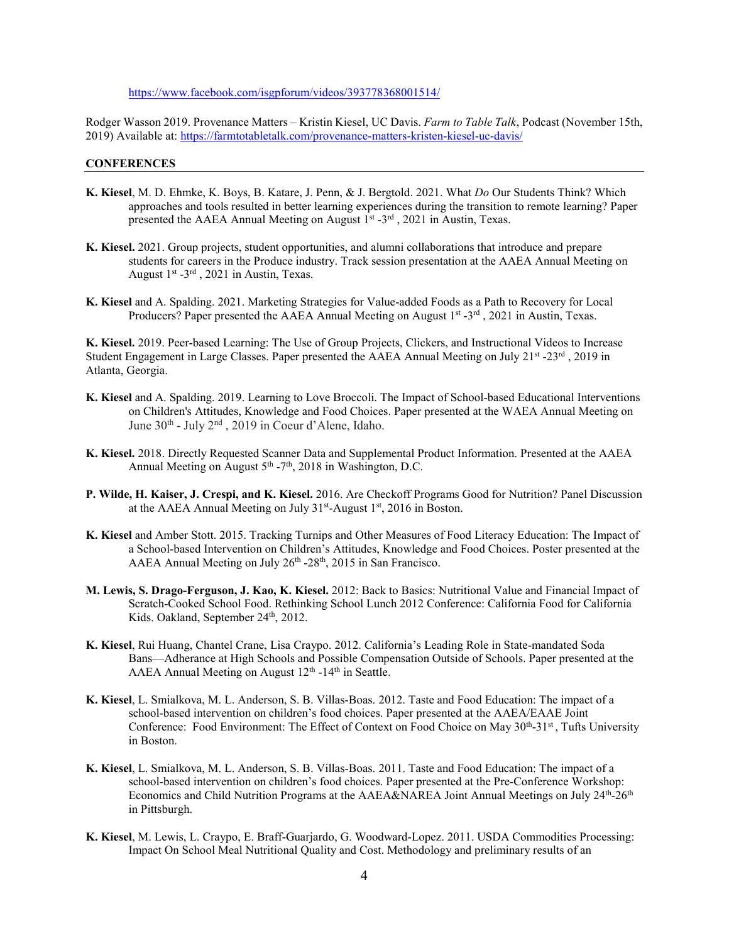#### <https://www.facebook.com/isgpforum/videos/393778368001514/>

Rodger Wasson 2019. Provenance Matters – Kristin Kiesel, UC Davis. *Farm to Table Talk*, Podcast (November 15th, 2019) Available at[: https://farmtotabletalk.com/provenance-matters-kristen-kiesel-uc-davis/](https://farmtotabletalk.com/provenance-matters-kristen-kiesel-uc-davis/)

### **CONFERENCES**

- **K. Kiesel**, M. D. Ehmke, K. Boys, B. Katare, J. Penn, & J. Bergtold. 2021. What *Do* Our Students Think? Which approaches and tools resulted in better learning experiences during the transition to remote learning? Paper presented the AAEA Annual Meeting on August  $1^{st}$  -3<sup>rd</sup>, 2021 in Austin, Texas.
- **K. Kiesel.** 2021. Group projects, student opportunities, and alumni collaborations that introduce and prepare students for careers in the Produce industry. Track session presentation at the AAEA Annual Meeting on August  $1^{st}$  -3<sup>rd</sup>, 2021 in Austin, Texas.
- **K. Kiesel** and A. Spalding. 2021. Marketing Strategies for Value-added Foods as a Path to Recovery for Local Producers? Paper presented the AAEA Annual Meeting on August  $1<sup>st</sup> - 3<sup>rd</sup>$ , 2021 in Austin, Texas.

**K. Kiesel.** 2019. Peer-based Learning: The Use of Group Projects, Clickers, and Instructional Videos to Increase Student Engagement in Large Classes. Paper presented the AAEA Annual Meeting on July  $21^{st}$  -23<sup>rd</sup>, 2019 in Atlanta, Georgia.

- **K. Kiesel** and A. Spalding. 2019. Learning to Love Broccoli. The Impact of School-based Educational Interventions on Children's Attitudes, Knowledge and Food Choices. Paper presented at the WAEA Annual Meeting on June 30th - July 2nd , 2019 in Coeur d'Alene, Idaho.
- **K. Kiesel.** 2018. Directly Requested Scanner Data and Supplemental Product Information. Presented at the AAEA Annual Meeting on August  $5<sup>th</sup> - 7<sup>th</sup>$ , 2018 in Washington, D.C.
- **P. Wilde, H. Kaiser, J. Crespi, and K. Kiesel.** 2016. Are Checkoff Programs Good for Nutrition? Panel Discussion at the AAEA Annual Meeting on July  $31<sup>st</sup>$ -August  $1<sup>st</sup>$ , 2016 in Boston.
- **K. Kiesel** and Amber Stott. 2015. Tracking Turnips and Other Measures of Food Literacy Education: The Impact of a School-based Intervention on Children's Attitudes, Knowledge and Food Choices. Poster presented at the AAEA Annual Meeting on July 26<sup>th</sup> -28<sup>th</sup>, 2015 in San Francisco.
- **M. Lewis, S. Drago-Ferguson, J. Kao, K. Kiesel.** 2012: Back to Basics: Nutritional Value and Financial Impact of Scratch-Cooked School Food. Rethinking School Lunch 2012 Conference: California Food for California Kids. Oakland, September 24<sup>th</sup>, 2012.
- **K. Kiesel**, Rui Huang, Chantel Crane, Lisa Craypo. 2012. California's Leading Role in State-mandated Soda Bans—Adherance at High Schools and Possible Compensation Outside of Schools. Paper presented at the AAEA Annual Meeting on August  $12<sup>th</sup>$  -14<sup>th</sup> in Seattle.
- **K. Kiesel**, L. Smialkova, M. L. Anderson, S. B. Villas-Boas. 2012. Taste and Food Education: The impact of a school-based intervention on children's food choices. Paper presented at the AAEA/EAAE Joint Conference: Food Environment: The Effect of Context on Food Choice on May 30<sup>th</sup>-31<sup>st</sup>, Tufts University in Boston.
- **K. Kiesel**, L. Smialkova, M. L. Anderson, S. B. Villas-Boas. 2011. Taste and Food Education: The impact of a school-based intervention on children's food choices. Paper presented at the Pre-Conference Workshop: Economics and Child Nutrition Programs at the AAEA&NAREA Joint Annual Meetings on July 24<sup>th</sup>-26<sup>th</sup> in Pittsburgh.
- **K. Kiesel**, M. Lewis, L. Craypo, E. Braff-Guarjardo, G. Woodward-Lopez. 2011. USDA Commodities Processing: Impact On School Meal Nutritional Quality and Cost. Methodology and preliminary results of an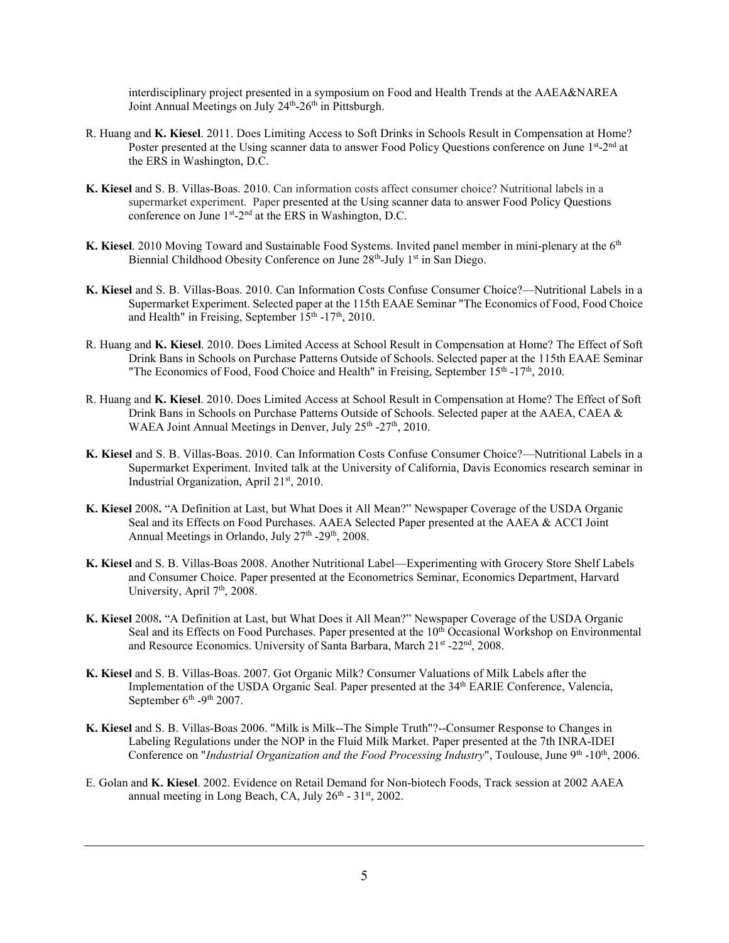interdisciplinary project presented in a symposium on Food and Health Trends at the AAEA&NAREA Joint Annual Meetings on July 24<sup>th</sup>-26<sup>th</sup> in Pittsburgh.

- R. Huang and **K. Kiesel**. 2011. Does Limiting Access to Soft Drinks in Schools Result in Compensation at Home? Poster presented at the Using scanner data to answer Food Policy Ouestions conference on June 1st-2nd at the ERS in Washington, D.C.
- **K. Kiesel** and S. B. Villas-Boas. 2010. Can information costs affect consumer choice? Nutritional labels in a supermarket experiment. Paper presented at the Using scanner data to answer Food Policy Questions conference on June 1<sup>st</sup>-2<sup>nd</sup> at the ERS in Washington, D.C.
- **K. Kiesel**. 2010 Moving Toward and Sustainable Food Systems. Invited panel member in mini-plenary at the 6th Biennial Childhood Obesity Conference on June 28<sup>th</sup>-July 1<sup>st</sup> in San Diego.
- **K. Kiesel** and S. B. Villas-Boas. 2010. Can Information Costs Confuse Consumer Choice?—Nutritional Labels in a Supermarket Experiment. Selected paper at the 115th EAAE Seminar "The Economics of Food, Food Choice and Health" in Freising, September  $15<sup>th</sup> - 17<sup>th</sup>$ , 2010.
- R. Huang and **K. Kiesel**. 2010. Does Limited Access at School Result in Compensation at Home? The Effect of Soft Drink Bans in Schools on Purchase Patterns Outside of Schools. Selected paper at the 115th EAAE Seminar "The Economics of Food, Food Choice and Health" in Freising, September 15<sup>th</sup> -17<sup>th</sup>, 2010.
- R. Huang and **K. Kiesel**. 2010. Does Limited Access at School Result in Compensation at Home? The Effect of Soft Drink Bans in Schools on Purchase Patterns Outside of Schools. Selected paper at the AAEA, CAEA & WAEA Joint Annual Meetings in Denver, July  $25<sup>th</sup> - 27<sup>th</sup>$ , 2010.
- **K. Kiesel** and S. B. Villas-Boas. 2010. Can Information Costs Confuse Consumer Choice?—Nutritional Labels in a Supermarket Experiment. Invited talk at the University of California, Davis Economics research seminar in Industrial Organization, April 21<sup>st</sup>, 2010.
- **K. Kiesel** 2008**.** "A Definition at Last, but What Does it All Mean?" Newspaper Coverage of the USDA Organic Seal and its Effects on Food Purchases. AAEA Selected Paper presented at the AAEA & ACCI Joint Annual Meetings in Orlando, July 27<sup>th</sup> -29<sup>th</sup>, 2008.
- **K. Kiesel** and S. B. Villas-Boas 2008. Another Nutritional Label—Experimenting with Grocery Store Shelf Labels and Consumer Choice. Paper presented at the Econometrics Seminar, Economics Department, Harvard University, April 7<sup>th</sup>, 2008.
- **K. Kiesel** 2008**.** "A Definition at Last, but What Does it All Mean?" Newspaper Coverage of the USDA Organic Seal and its Effects on Food Purchases. Paper presented at the 10<sup>th</sup> Occasional Workshop on Environmental and Resource Economics. University of Santa Barbara, March 21st -22<sup>nd</sup>, 2008.
- **K. Kiesel** and S. B. Villas-Boas. 2007. Got Organic Milk? Consumer Valuations of Milk Labels after the Implementation of the USDA Organic Seal. Paper presented at the 34<sup>th</sup> EARIE Conference, Valencia, September  $6<sup>th</sup>$  -9<sup>th</sup> 2007.
- **K. Kiesel** and S. B. Villas-Boas 2006. "Milk is Milk--The Simple Truth"?--Consumer Response to Changes in Labeling Regulations under the NOP in the Fluid Milk Market. Paper presented at the 7th INRA-IDEI Conference on "*Industrial Organization and the Food Processing Industry*", Toulouse, June 9<sup>th</sup> -10<sup>th</sup>, 2006.
- E. Golan and **K. Kiesel**. 2002. Evidence on Retail Demand for Non-biotech Foods, Track session at 2002 AAEA annual meeting in Long Beach, CA, July 26<sup>th</sup> - 31<sup>st</sup>, 2002.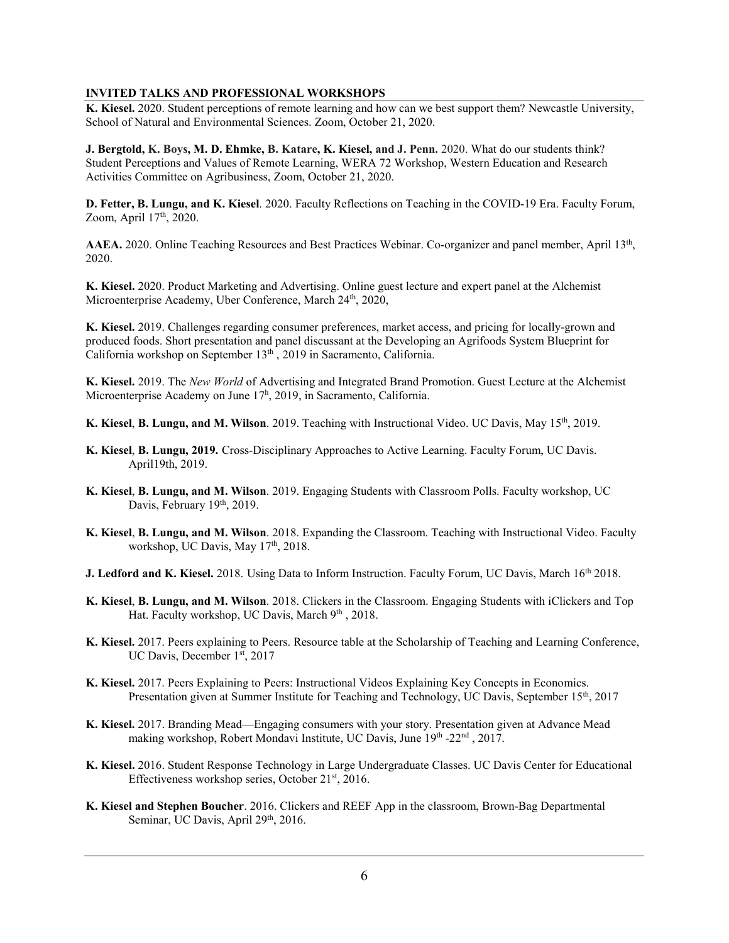## **INVITED TALKS AND PROFESSIONAL WORKSHOPS**

**K. Kiesel.** 2020. Student perceptions of remote learning and how can we best support them? Newcastle University, School of Natural and Environmental Sciences. Zoom, October 21, 2020.

**J. Bergtold, K. Boys, M. D. Ehmke, B. Katare, K. Kiesel, and J. Penn.** 2020. What do our students think? Student Perceptions and Values of Remote Learning, WERA 72 Workshop, Western Education and Research Activities Committee on Agribusiness, Zoom, October 21, 2020.

**D. Fetter, B. Lungu, and K. Kiesel**. 2020. Faculty Reflections on Teaching in the COVID-19 Era. Faculty Forum, Zoom, April 17<sup>th</sup>, 2020.

**AAEA.** 2020. Online Teaching Resources and Best Practices Webinar. Co-organizer and panel member, April 13th, 2020.

**K. Kiesel.** 2020. Product Marketing and Advertising. Online guest lecture and expert panel at the Alchemist Microenterprise Academy, Uber Conference, March 24<sup>th</sup>, 2020,

**K. Kiesel.** 2019. Challenges regarding consumer preferences, market access, and pricing for locally-grown and produced foods. Short presentation and panel discussant at the Developing an Agrifoods System Blueprint for California workshop on September 13<sup>th</sup>, 2019 in Sacramento, California.

**K. Kiesel.** 2019. The *New World* of Advertising and Integrated Brand Promotion. Guest Lecture at the Alchemist Microenterprise Academy on June 17<sup>h</sup>, 2019, in Sacramento, California.

**K. Kiesel**, **B. Lungu, and M. Wilson**. 2019. Teaching with Instructional Video. UC Davis, May 15th, 2019.

- **K. Kiesel**, **B. Lungu, 2019.** Cross-Disciplinary Approaches to Active Learning. Faculty Forum, UC Davis. April19th, 2019.
- **K. Kiesel**, **B. Lungu, and M. Wilson**. 2019. Engaging Students with Classroom Polls. Faculty workshop, UC Davis, February 19th, 2019.
- **K. Kiesel**, **B. Lungu, and M. Wilson**. 2018. Expanding the Classroom. Teaching with Instructional Video. Faculty workshop, UC Davis, May 17<sup>th</sup>, 2018.
- J. Ledford and K. Kiesel. 2018. Using Data to Inform Instruction. Faculty Forum, UC Davis, March 16<sup>th</sup> 2018.
- **K. Kiesel**, **B. Lungu, and M. Wilson**. 2018. Clickers in the Classroom. Engaging Students with iClickers and Top Hat. Faculty workshop, UC Davis, March 9th, 2018.
- **K. Kiesel.** 2017. Peers explaining to Peers. Resource table at the Scholarship of Teaching and Learning Conference, UC Davis, December 1st, 2017
- **K. Kiesel.** 2017. Peers Explaining to Peers: Instructional Videos Explaining Key Concepts in Economics. Presentation given at Summer Institute for Teaching and Technology, UC Davis, September 15<sup>th</sup>, 2017
- **K. Kiesel.** 2017. Branding Mead—Engaging consumers with your story. Presentation given at Advance Mead making workshop, Robert Mondavi Institute, UC Davis, June 19th -22nd, 2017.
- **K. Kiesel.** 2016. Student Response Technology in Large Undergraduate Classes. UC Davis Center for Educational Effectiveness workshop series, October 21<sup>st</sup>, 2016.
- **K. Kiesel and Stephen Boucher**. 2016. Clickers and REEF App in the classroom, Brown-Bag Departmental Seminar, UC Davis, April 29<sup>th</sup>, 2016.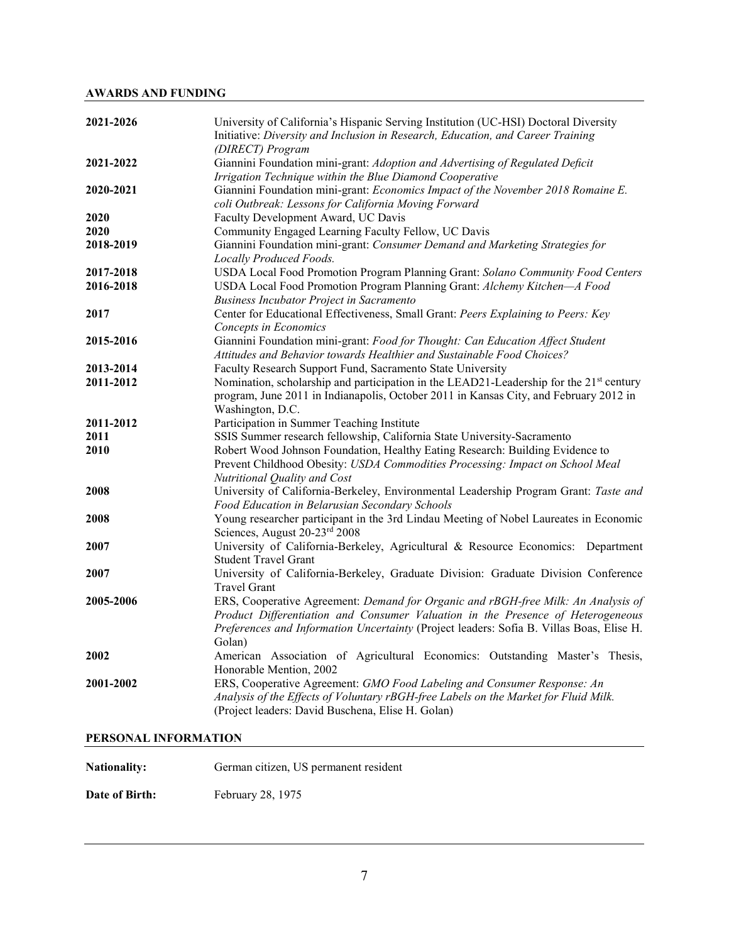# **AWARDS AND FUNDING**

| 2021-2026 | University of California's Hispanic Serving Institution (UC-HSI) Doctoral Diversity<br>Initiative: Diversity and Inclusion in Research, Education, and Career Training<br>(DIRECT) Program                                                                                 |
|-----------|----------------------------------------------------------------------------------------------------------------------------------------------------------------------------------------------------------------------------------------------------------------------------|
| 2021-2022 | Giannini Foundation mini-grant: Adoption and Advertising of Regulated Deficit<br>Irrigation Technique within the Blue Diamond Cooperative                                                                                                                                  |
| 2020-2021 | Giannini Foundation mini-grant: Economics Impact of the November 2018 Romaine E.<br>coli Outbreak: Lessons for California Moving Forward                                                                                                                                   |
| 2020      | Faculty Development Award, UC Davis                                                                                                                                                                                                                                        |
| 2020      | Community Engaged Learning Faculty Fellow, UC Davis                                                                                                                                                                                                                        |
| 2018-2019 | Giannini Foundation mini-grant: Consumer Demand and Marketing Strategies for<br>Locally Produced Foods.                                                                                                                                                                    |
| 2017-2018 | USDA Local Food Promotion Program Planning Grant: Solano Community Food Centers                                                                                                                                                                                            |
| 2016-2018 | USDA Local Food Promotion Program Planning Grant: Alchemy Kitchen-A Food                                                                                                                                                                                                   |
|           | <b>Business Incubator Project in Sacramento</b>                                                                                                                                                                                                                            |
| 2017      | Center for Educational Effectiveness, Small Grant: Peers Explaining to Peers: Key                                                                                                                                                                                          |
|           | Concepts in Economics                                                                                                                                                                                                                                                      |
| 2015-2016 | Giannini Foundation mini-grant: Food for Thought: Can Education Affect Student<br>Attitudes and Behavior towards Healthier and Sustainable Food Choices?                                                                                                                   |
| 2013-2014 | Faculty Research Support Fund, Sacramento State University                                                                                                                                                                                                                 |
| 2011-2012 | Nomination, scholarship and participation in the LEAD21-Leadership for the 21 <sup>st</sup> century<br>program, June 2011 in Indianapolis, October 2011 in Kansas City, and February 2012 in<br>Washington, D.C.                                                           |
| 2011-2012 | Participation in Summer Teaching Institute                                                                                                                                                                                                                                 |
| 2011      | SSIS Summer research fellowship, California State University-Sacramento                                                                                                                                                                                                    |
| 2010      | Robert Wood Johnson Foundation, Healthy Eating Research: Building Evidence to<br>Prevent Childhood Obesity: USDA Commodities Processing: Impact on School Meal<br>Nutritional Quality and Cost                                                                             |
| 2008      | University of California-Berkeley, Environmental Leadership Program Grant: Taste and<br>Food Education in Belarusian Secondary Schools                                                                                                                                     |
| 2008      | Young researcher participant in the 3rd Lindau Meeting of Nobel Laureates in Economic<br>Sciences, August 20-23rd 2008                                                                                                                                                     |
| 2007      | University of California-Berkeley, Agricultural & Resource Economics: Department<br><b>Student Travel Grant</b>                                                                                                                                                            |
| 2007      | University of California-Berkeley, Graduate Division: Graduate Division Conference<br><b>Travel Grant</b>                                                                                                                                                                  |
| 2005-2006 | ERS, Cooperative Agreement: Demand for Organic and rBGH-free Milk: An Analysis of<br>Product Differentiation and Consumer Valuation in the Presence of Heterogeneous<br>Preferences and Information Uncertainty (Project leaders: Sofia B. Villas Boas, Elise H.<br>Golan) |
| 2002      | American Association of Agricultural Economics: Outstanding Master's Thesis,<br>Honorable Mention, 2002                                                                                                                                                                    |
| 2001-2002 | ERS, Cooperative Agreement: GMO Food Labeling and Consumer Response: An<br>Analysis of the Effects of Voluntary rBGH-free Labels on the Market for Fluid Milk.<br>(Project leaders: David Buschena, Elise H. Golan)                                                        |

# **PERSONAL INFORMATION**

Nationality: German citizen, US permanent resident

Date of Birth: February 28, 1975